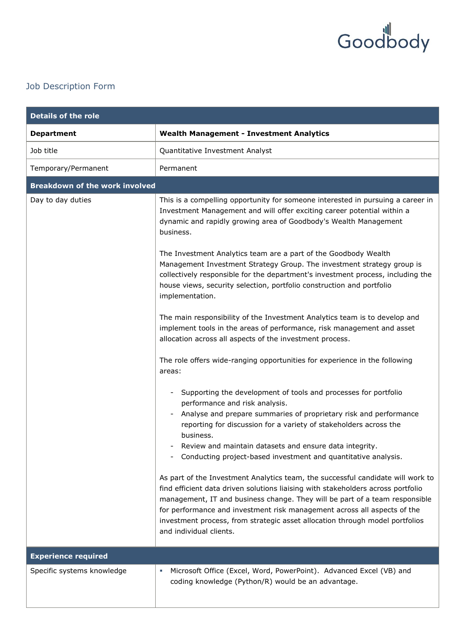

## Job Description Form

| <b>Details of the role</b>            |                                                                                                                                                                                                                                                                                                                                                                                                                                           |  |
|---------------------------------------|-------------------------------------------------------------------------------------------------------------------------------------------------------------------------------------------------------------------------------------------------------------------------------------------------------------------------------------------------------------------------------------------------------------------------------------------|--|
| <b>Department</b>                     | <b>Wealth Management - Investment Analytics</b>                                                                                                                                                                                                                                                                                                                                                                                           |  |
| Job title                             | Quantitative Investment Analyst                                                                                                                                                                                                                                                                                                                                                                                                           |  |
| Temporary/Permanent                   | Permanent                                                                                                                                                                                                                                                                                                                                                                                                                                 |  |
| <b>Breakdown of the work involved</b> |                                                                                                                                                                                                                                                                                                                                                                                                                                           |  |
| Day to day duties                     | This is a compelling opportunity for someone interested in pursuing a career in<br>Investment Management and will offer exciting career potential within a<br>dynamic and rapidly growing area of Goodbody's Wealth Management<br>business.                                                                                                                                                                                               |  |
|                                       | The Investment Analytics team are a part of the Goodbody Wealth<br>Management Investment Strategy Group. The investment strategy group is<br>collectively responsible for the department's investment process, including the<br>house views, security selection, portfolio construction and portfolio<br>implementation.                                                                                                                  |  |
|                                       | The main responsibility of the Investment Analytics team is to develop and<br>implement tools in the areas of performance, risk management and asset<br>allocation across all aspects of the investment process.                                                                                                                                                                                                                          |  |
|                                       | The role offers wide-ranging opportunities for experience in the following<br>areas:                                                                                                                                                                                                                                                                                                                                                      |  |
|                                       | Supporting the development of tools and processes for portfolio<br>performance and risk analysis.                                                                                                                                                                                                                                                                                                                                         |  |
|                                       | Analyse and prepare summaries of proprietary risk and performance<br>reporting for discussion for a variety of stakeholders across the<br>business.                                                                                                                                                                                                                                                                                       |  |
|                                       | Review and maintain datasets and ensure data integrity.<br>Conducting project-based investment and quantitative analysis.<br>$\overline{\phantom{a}}$                                                                                                                                                                                                                                                                                     |  |
|                                       | As part of the Investment Analytics team, the successful candidate will work to<br>find efficient data driven solutions liaising with stakeholders across portfolio<br>management, IT and business change. They will be part of a team responsible<br>for performance and investment risk management across all aspects of the<br>investment process, from strategic asset allocation through model portfolios<br>and individual clients. |  |
| <b>Experience required</b>            |                                                                                                                                                                                                                                                                                                                                                                                                                                           |  |
| Specific systems knowledge            | Microsoft Office (Excel, Word, PowerPoint). Advanced Excel (VB) and<br>×.<br>coding knowledge (Python/R) would be an advantage.                                                                                                                                                                                                                                                                                                           |  |